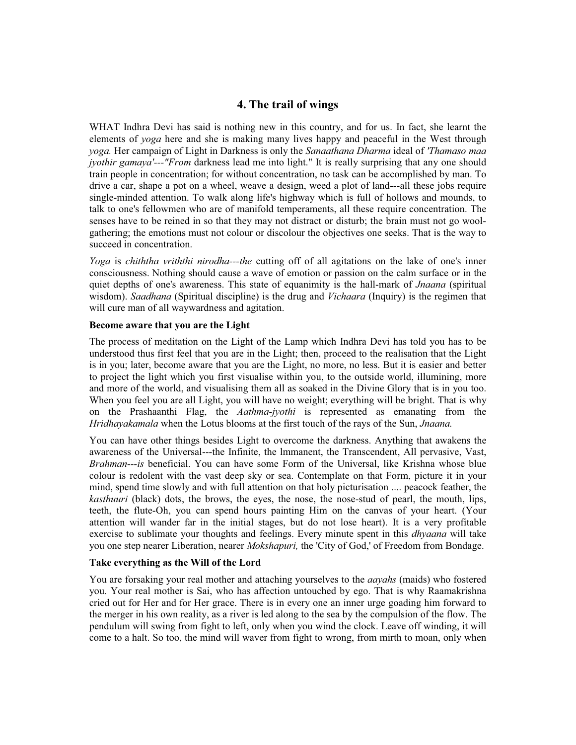## **4. The trail of wings**

WHAT Indhra Devi has said is nothing new in this country, and for us. In fact, she learnt the elements of *yoga* here and she is making many lives happy and peaceful in the West through *yoga.* Her campaign of Light in Darkness is only the *Sanaathana Dharma* ideal of *'Thamaso maa jyothir gamaya'*---"*From* darkness lead me into light." It is really surprising that any one should train people in concentration; for without concentration, no task can be accomplished by man. To drive a car, shape a pot on a wheel, weave a design, weed a plot of land---all these jobs require single-minded attention. To walk along life's highway which is full of hollows and mounds, to talk to one's fellowmen who are of manifold temperaments, all these require concentration. The senses have to be reined in so that they may not distract or disturb; the brain must not go woolgathering; the emotions must not colour or discolour the objectives one seeks. That is the way to succeed in concentration.

*Yoga* is *chiththa vriththi nirodha---the* cutting off of all agitations on the lake of one's inner consciousness. Nothing should cause a wave of emotion or passion on the calm surface or in the quiet depths of one's awareness. This state of equanimity is the hall-mark of *Jnaana* (spiritual wisdom). *Saadhana* (Spiritual discipline) is the drug and *Vichaara* (Inquiry) is the regimen that will cure man of all waywardness and agitation.

## **Become aware that you are the Light**

The process of meditation on the Light of the Lamp which Indhra Devi has told you has to be understood thus first feel that you are in the Light; then, proceed to the realisation that the Light is in you; later, become aware that you are the Light, no more, no less. But it is easier and better to project the light which you first visualise within you, to the outside world, illumining, more and more of the world, and visualising them all as soaked in the Divine Glory that is in you too. When you feel you are all Light, you will have no weight; everything will be bright. That is why on the Prashaanthi Flag, the *Aathma-jyothi* is represented as emanating from the *Hridhayakamala* when the Lotus blooms at the first touch of the rays of the Sun, *Jnaana.*

You can have other things besides Light to overcome the darkness. Anything that awakens the awareness of the Universal---the Infinite, the lmmanent, the Transcendent, All pervasive, Vast, *Brahman---is* beneficial. You can have some Form of the Universal, like Krishna whose blue colour is redolent with the vast deep sky or sea. Contemplate on that Form, picture it in your mind, spend time slowly and with full attention on that holy picturisation .... peacock feather, the *kasthuuri* (black) dots, the brows, the eyes, the nose, the nose-stud of pearl, the mouth, lips, teeth, the flute-Oh, you can spend hours painting Him on the canvas of your heart. (Your attention will wander far in the initial stages, but do not lose heart). It is a very profitable exercise to sublimate your thoughts and feelings. Every minute spent in this *dhyaana* will take you one step nearer Liberation, nearer *Mokshapuri,* the 'City of God,' of Freedom from Bondage.

## **Take everything as the Will of the Lord**

You are forsaking your real mother and attaching yourselves to the *aayahs* (maids) who fostered you. Your real mother is Sai, who has affection untouched by ego. That is why Raamakrishna cried out for Her and for Her grace. There is in every one an inner urge goading him forward to the merger in his own reality, as a river is led along to the sea by the compulsion of the flow. The pendulum will swing from fight to left, only when you wind the clock. Leave off winding, it will come to a halt. So too, the mind will waver from fight to wrong, from mirth to moan, only when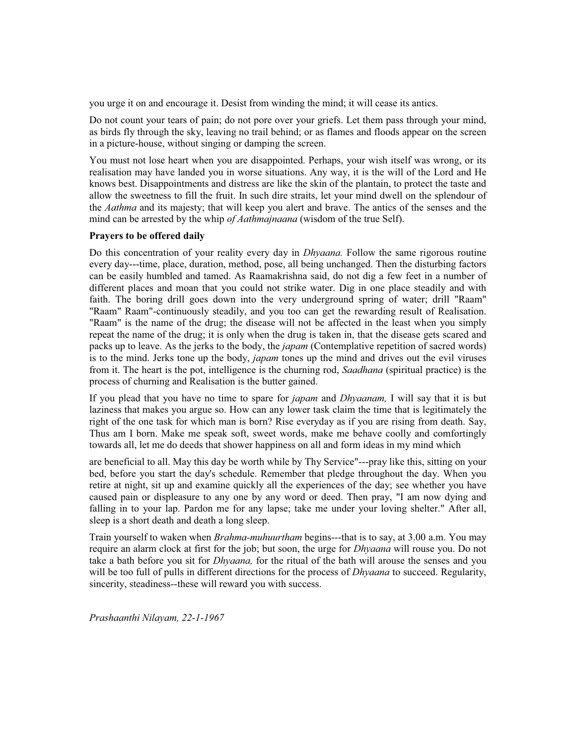you urge it on and encourage it. Desist from winding the mind; it will cease its antics.

Do not count your tears of pain; do not pore over your griefs. Let them pass through your mind, as birds fly through the sky, leaving no trail behind; or as flames and floods appear on the screen in a picture-house, without singing or damping the screen.

You must not lose heart when you are disappointed. Perhaps, your wish itself was wrong, or its realisation may have landed you in worse situations. Any way, it is the will of the Lord and He knows best. Disappointments and distress are like the skin of the plantain, to protect the taste and allow the sweetness to fill the fruit. In such dire straits, let your mind dwell on the splendour of the *Aathma* and its majesty; that will keep you alert and brave. The antics of the senses and the mind can be arrested by the whip *of Aathmajnaana* (wisdom of the true Self).

## **Prayers to be offered daily**

Do this concentration of your reality every day in *Dhyaana.* Follow the same rigorous routine every day---time, place, duration, method, pose, all being unchanged. Then the disturbing factors can be easily humbled and tamed. As Raamakrishna said, do not dig a few feet in a number of different places and moan that you could not strike water. Dig in one place steadily and with faith. The boring drill goes down into the very underground spring of water; drill "Raam" "Raam" Raam"-continuously steadily, and you too can get the rewarding result of Realisation. "Raam" is the name of the drug; the disease will not be affected in the least when you simply repeat the name of the drug; it is only when the drug is taken in, that the disease gets scared and packs up to leave. As the jerks to the body, the *japam* (Contemplative repetition of sacred words) is to the mind. Jerks tone up the body, *japam* tones up the mind and drives out the evil viruses from it. The heart is the pot, intelligence is the churning rod, *Saadhana* (spiritual practice) is the process of churning and Realisation is the butter gained.

If you plead that you have no time to spare for *japam* and *Dhyaanam,* I will say that it is but laziness that makes you argue so. How can any lower task claim the time that is legitimately the right of the one task for which man is born? Rise everyday as if you are rising from death. Say, Thus am I born. Make me speak soft, sweet words, make me behave coolly and comfortingly towards all, let me do deeds that shower happiness on all and form ideas in my mind which

are beneficial to all. May this day be worth while by Thy Service"---pray like this, sitting on your bed, before you start the day's schedule. Remember that pledge throughout the day. When you retire at night, sit up and examine quickly all the experiences of the day; see whether you have caused pain or displeasure to any one by any word or deed. Then pray, "I am now dying and falling in to your lap. Pardon me for any lapse; take me under your loving shelter." After all, sleep is a short death and death a long sleep.

Train yourself to waken when *Brahma-muhuurtham* begins---that is to say, at 3.00 a.m. You may require an alarm clock at first for the job; but soon, the urge for *Dhyaana* will rouse you. Do not take a bath before you sit for *Dhyaana,* for the ritual of the bath will arouse the senses and you will be too full of pulls in different directions for the process of *Dhyaana* to succeed. Regularity, sincerity, steadiness--these will reward you with success.

*Prashaanthi Nilayam, 22-1-1967*